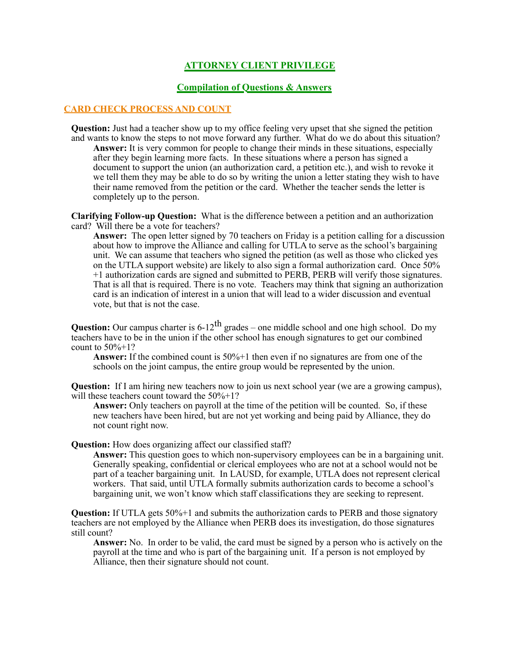# **ATTORNEY CLIENT PRIVILEGE**

## **Compilation of Questions & Answers**

#### **CARD CHECK PROCESS AND COUNT**

**Question:** Just had a teacher show up to my office feeling very upset that she signed the petition and wants to know the steps to not move forward any further. What do we do about this situation? **Answer:** It is very common for people to change their minds in these situations, especially after they begin learning more facts. In these situations where a person has signed a document to support the union (an authorization card, a petition etc.), and wish to revoke it we tell them they may be able to do so by writing the union a letter stating they wish to have their name removed from the petition or the card. Whether the teacher sends the letter is completely up to the person.

**Clarifying Follow-up Question:** What is the difference between a petition and an authorization card? Will there be a vote for teachers?

**Answer:** The open letter signed by 70 teachers on Friday is a petition calling for a discussion about how to improve the Alliance and calling for UTLA to serve as the school's bargaining unit. We can assume that teachers who signed the petition (as well as those who clicked yes on the UTLA support website) are likely to also sign a formal authorization card. Once 50% +1 authorization cards are signed and submitted to PERB, PERB will verify those signatures. That is all that is required. There is no vote. Teachers may think that signing an authorization card is an indication of interest in a union that will lead to a wider discussion and eventual vote, but that is not the case.

**Question:** Our campus charter is  $6-12^{th}$  grades – one middle school and one high school. Do my teachers have to be in the union if the other school has enough signatures to get our combined count to  $50\% + 1?$ 

**Answer:** If the combined count is 50%+1 then even if no signatures are from one of the schools on the joint campus, the entire group would be represented by the union.

**Question:** If I am hiring new teachers now to join us next school year (we are a growing campus), will these teachers count toward the  $50\% + 1$ ?

**Answer:** Only teachers on payroll at the time of the petition will be counted. So, if these new teachers have been hired, but are not yet working and being paid by Alliance, they do not count right now.

## **Question:** How does organizing affect our classified staff?

**Answer:** This question goes to which non-supervisory employees can be in a bargaining unit. Generally speaking, confidential or clerical employees who are not at a school would not be part of a teacher bargaining unit. In LAUSD, for example, UTLA does not represent clerical workers. That said, until UTLA formally submits authorization cards to become a school's bargaining unit, we won't know which staff classifications they are seeking to represent.

**Question:** If UTLA gets 50%+1 and submits the authorization cards to PERB and those signatory teachers are not employed by the Alliance when PERB does its investigation, do those signatures still count?

**Answer:** No. In order to be valid, the card must be signed by a person who is actively on the payroll at the time and who is part of the bargaining unit. If a person is not employed by Alliance, then their signature should not count.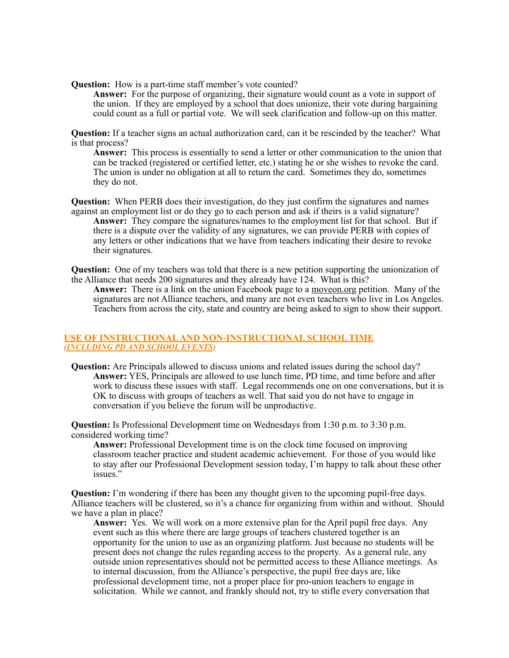**Question:** How is a part-time staff member's vote counted?

**Answer:** For the purpose of organizing, their signature would count as a vote in support of the union. If they are employed by a school that does unionize, their vote during bargaining could count as a full or partial vote. We will seek clarification and follow-up on this matter.

**Question:** If a teacher signs an actual authorization card, can it be rescinded by the teacher? What is that process?

**Answer:** This process is essentially to send a letter or other communication to the union that can be tracked (registered or certified letter, etc.) stating he or she wishes to revoke the card. The union is under no obligation at all to return the card. Sometimes they do, sometimes they do not.

**Question:** When PERB does their investigation, do they just confirm the signatures and names against an employment list or do they go to each person and ask if theirs is a valid signature? **Answer:** They compare the signatures/names to the employment list for that school. But if there is a dispute over the validity of any signatures, we can provide PERB with copies of any letters or other indications that we have from teachers indicating their desire to revoke their signatures.

**Question:** One of my teachers was told that there is a new petition supporting the unionization of the Alliance that needs 200 signatures and they already have 124. What is this?

**Answer:** There is a link on the union Facebook page to a moveon.org petition. Many of the signatures are not Alliance teachers, and many are not even teachers who live in Los Angeles. Teachers from across the city, state and country are being asked to sign to show their support.

## **USE OF INSTRUCTIONAL AND NON-INSTRUCTIONAL SCHOOL TIME**  *(INCLUDING PD AND SCHOOL EVENTS)*

**Question:** Are Principals allowed to discuss unions and related issues during the school day? **Answer:** YES, Principals are allowed to use lunch time, PD time, and time before and after work to discuss these issues with staff. Legal recommends one on one conversations, but it is OK to discuss with groups of teachers as well. That said you do not have to engage in conversation if you believe the forum will be unproductive.

**Question:** Is Professional Development time on Wednesdays from 1:30 p.m. to 3:30 p.m. considered working time?

**Answer:** Professional Development time is on the clock time focused on improving classroom teacher practice and student academic achievement. For those of you would like to stay after our Professional Development session today, I'm happy to talk about these other issues."

**Question:** I'm wondering if there has been any thought given to the upcoming pupil-free days. Alliance teachers will be clustered, so it's a chance for organizing from within and without. Should we have a plan in place?

**Answer:** Yes. We will work on a more extensive plan for the April pupil free days. Any event such as this where there are large groups of teachers clustered together is an opportunity for the union to use as an organizing platform. Just because no students will be present does not change the rules regarding access to the property. As a general rule, any outside union representatives should not be permitted access to these Alliance meetings. As to internal discussion, from the Alliance's perspective, the pupil free days are, like professional development time, not a proper place for pro-union teachers to engage in solicitation. While we cannot, and frankly should not, try to stifle every conversation that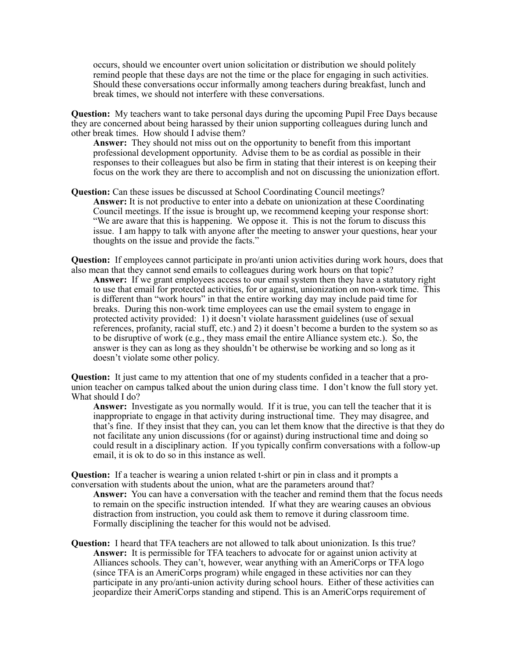occurs, should we encounter overt union solicitation or distribution we should politely remind people that these days are not the time or the place for engaging in such activities. Should these conversations occur informally among teachers during breakfast, lunch and break times, we should not interfere with these conversations.

**Question:** My teachers want to take personal days during the upcoming Pupil Free Days because they are concerned about being harassed by their union supporting colleagues during lunch and other break times. How should I advise them?

**Answer:** They should not miss out on the opportunity to benefit from this important professional development opportunity. Advise them to be as cordial as possible in their responses to their colleagues but also be firm in stating that their interest is on keeping their focus on the work they are there to accomplish and not on discussing the unionization effort.

**Question:** Can these issues be discussed at School Coordinating Council meetings? **Answer:** It is not productive to enter into a debate on unionization at these Coordinating Council meetings. If the issue is brought up, we recommend keeping your response short: "We are aware that this is happening. We oppose it. This is not the forum to discuss this issue. I am happy to talk with anyone after the meeting to answer your questions, hear your thoughts on the issue and provide the facts."

**Question:** If employees cannot participate in pro/anti union activities during work hours, does that also mean that they cannot send emails to colleagues during work hours on that topic?

**Answer:** If we grant employees access to our email system then they have a statutory right to use that email for protected activities, for or against, unionization on non-work time. This is different than "work hours" in that the entire working day may include paid time for breaks. During this non-work time employees can use the email system to engage in protected activity provided: 1) it doesn't violate harassment guidelines (use of sexual references, profanity, racial stuff, etc.) and 2) it doesn't become a burden to the system so as to be disruptive of work (e.g., they mass email the entire Alliance system etc.). So, the answer is they can as long as they shouldn't be otherwise be working and so long as it doesn't violate some other policy.

**Question:** It just came to my attention that one of my students confided in a teacher that a prounion teacher on campus talked about the union during class time. I don't know the full story yet. What should I do?

**Answer:** Investigate as you normally would. If it is true, you can tell the teacher that it is inappropriate to engage in that activity during instructional time. They may disagree, and that's fine. If they insist that they can, you can let them know that the directive is that they do not facilitate any union discussions (for or against) during instructional time and doing so could result in a disciplinary action. If you typically confirm conversations with a follow-up email, it is ok to do so in this instance as well.

**Question:** If a teacher is wearing a union related t-shirt or pin in class and it prompts a conversation with students about the union, what are the parameters around that? **Answer:** You can have a conversation with the teacher and remind them that the focus needs to remain on the specific instruction intended. If what they are wearing causes an obvious distraction from instruction, you could ask them to remove it during classroom time. Formally disciplining the teacher for this would not be advised.

**Question:** I heard that TFA teachers are not allowed to talk about unionization. Is this true? **Answer:** It is permissible for TFA teachers to advocate for or against union activity at Alliances schools. They can't, however, wear anything with an AmeriCorps or TFA logo (since TFA is an AmeriCorps program) while engaged in these activities nor can they participate in any pro/anti-union activity during school hours. Either of these activities can jeopardize their AmeriCorps standing and stipend. This is an AmeriCorps requirement of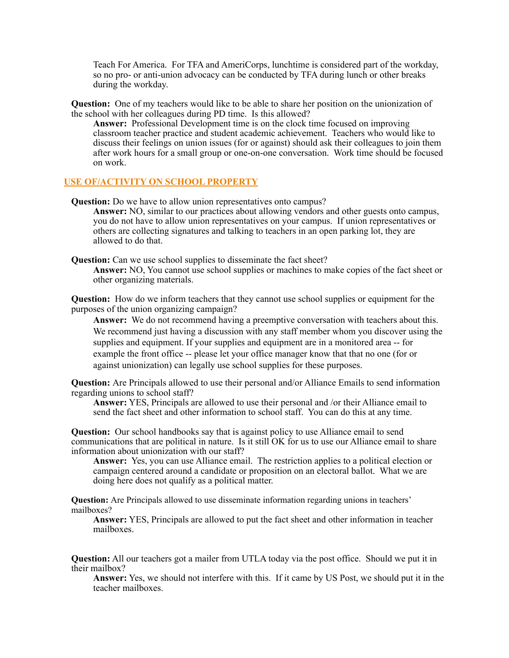Teach For America. For TFA and AmeriCorps, lunchtime is considered part of the workday, so no pro- or anti-union advocacy can be conducted by TFA during lunch or other breaks during the workday.

**Question:** One of my teachers would like to be able to share her position on the unionization of the school with her colleagues during PD time. Is this allowed?

**Answer:** Professional Development time is on the clock time focused on improving classroom teacher practice and student academic achievement. Teachers who would like to discuss their feelings on union issues (for or against) should ask their colleagues to join them after work hours for a small group or one-on-one conversation. Work time should be focused on work.

### **USE OF/ACTIVITY ON SCHOOL PROPERTY**

**Question:** Do we have to allow union representatives onto campus?

**Answer:** NO, similar to our practices about allowing vendors and other guests onto campus, you do not have to allow union representatives on your campus. If union representatives or others are collecting signatures and talking to teachers in an open parking lot, they are allowed to do that.

**Question:** Can we use school supplies to disseminate the fact sheet?

**Answer:** NO, You cannot use school supplies or machines to make copies of the fact sheet or other organizing materials.

**Question:** How do we inform teachers that they cannot use school supplies or equipment for the purposes of the union organizing campaign?

**Answer:** We do not recommend having a preemptive conversation with teachers about this. We recommend just having a discussion with any staff member whom you discover using the supplies and equipment. If your supplies and equipment are in a monitored area -- for example the front office -- please let your office manager know that that no one (for or against unionization) can legally use school supplies for these purposes.

**Question:** Are Principals allowed to use their personal and/or Alliance Emails to send information regarding unions to school staff?

**Answer:** YES, Principals are allowed to use their personal and /or their Alliance email to send the fact sheet and other information to school staff. You can do this at any time.

**Question:** Our school handbooks say that is against policy to use Alliance email to send communications that are political in nature. Is it still OK for us to use our Alliance email to share information about unionization with our staff?

**Answer:** Yes, you can use Alliance email. The restriction applies to a political election or campaign centered around a candidate or proposition on an electoral ballot. What we are doing here does not qualify as a political matter.

**Question:** Are Principals allowed to use disseminate information regarding unions in teachers' mailboxes?

**Answer:** YES, Principals are allowed to put the fact sheet and other information in teacher mailboxes.

**Question:** All our teachers got a mailer from UTLA today via the post office. Should we put it in their mailbox?

**Answer:** Yes, we should not interfere with this. If it came by US Post, we should put it in the teacher mailboxes.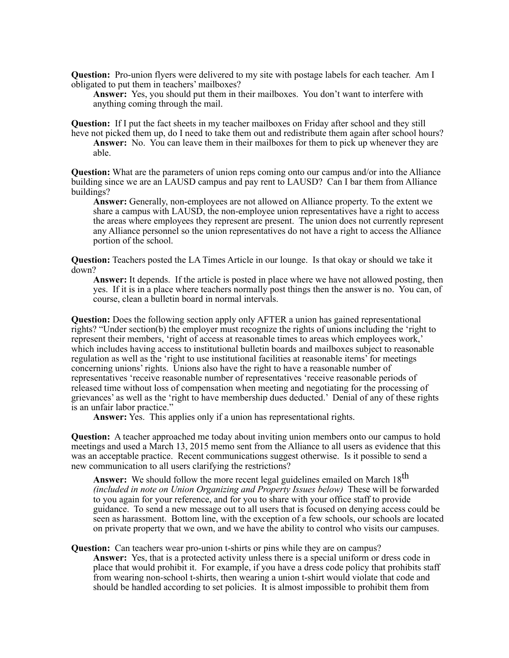**Question:** Pro-union flyers were delivered to my site with postage labels for each teacher. Am I obligated to put them in teachers' mailboxes?

**Answer:** Yes, you should put them in their mailboxes. You don't want to interfere with anything coming through the mail.

**Question:** If I put the fact sheets in my teacher mailboxes on Friday after school and they still heve not picked them up, do I need to take them out and redistribute them again after school hours? **Answer:** No. You can leave them in their mailboxes for them to pick up whenever they are able.

**Question:** What are the parameters of union reps coming onto our campus and/or into the Alliance building since we are an LAUSD campus and pay rent to LAUSD? Can I bar them from Alliance buildings?

**Answer:** Generally, non-employees are not allowed on Alliance property. To the extent we share a campus with LAUSD, the non-employee union representatives have a right to access the areas where employees they represent are present. The union does not currently represent any Alliance personnel so the union representatives do not have a right to access the Alliance portion of the school.

**Question:** Teachers posted the LA Times Article in our lounge. Is that okay or should we take it down?

**Answer:** It depends. If the article is posted in place where we have not allowed posting, then yes. If it is in a place where teachers normally post things then the answer is no. You can, of course, clean a bulletin board in normal intervals.

**Question:** Does the following section apply only AFTER a union has gained representational rights? "Under section(b) the employer must recognize the rights of unions including the 'right to represent their members, 'right of access at reasonable times to areas which employees work,' which includes having access to institutional bulletin boards and mailboxes subject to reasonable regulation as well as the 'right to use institutional facilities at reasonable items' for meetings concerning unions' rights. Unions also have the right to have a reasonable number of representatives 'receive reasonable number of representatives 'receive reasonable periods of released time without loss of compensation when meeting and negotiating for the processing of grievances' as well as the 'right to have membership dues deducted.' Denial of any of these rights is an unfair labor practice."

Answer: Yes. This applies only if a union has representational rights.

**Question:** A teacher approached me today about inviting union members onto our campus to hold meetings and used a March 13, 2015 memo sent from the Alliance to all users as evidence that this was an acceptable practice. Recent communications suggest otherwise. Is it possible to send a new communication to all users clarifying the restrictions?

Answer: We should follow the more recent legal guidelines emailed on March 18<sup>th</sup> *(included in note on Union Organizing and Property Issues below)* These will be forwarded to you again for your reference, and for you to share with your office staff to provide guidance. To send a new message out to all users that is focused on denying access could be seen as harassment. Bottom line, with the exception of a few schools, our schools are located on private property that we own, and we have the ability to control who visits our campuses.

**Question:** Can teachers wear pro-union t-shirts or pins while they are on campus? **Answer:** Yes, that is a protected activity unless there is a special uniform or dress code in place that would prohibit it. For example, if you have a dress code policy that prohibits staff from wearing non-school t-shirts, then wearing a union t-shirt would violate that code and should be handled according to set policies. It is almost impossible to prohibit them from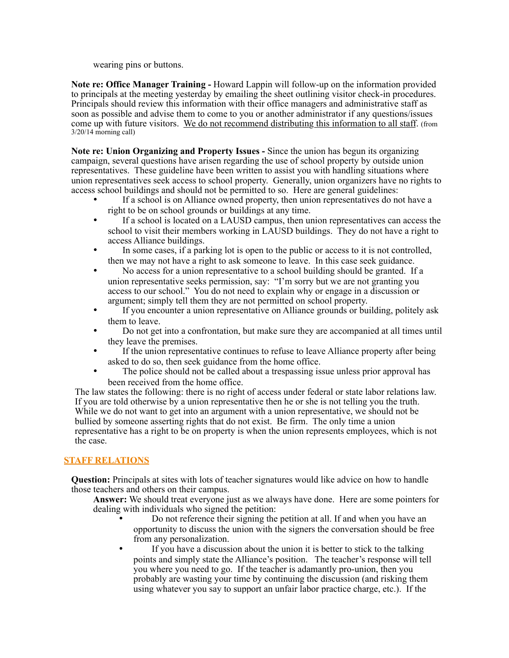wearing pins or buttons.

**Note re: Office Manager Training -** Howard Lappin will follow-up on the information provided to principals at the meeting yesterday by emailing the sheet outlining visitor check-in procedures. Principals should review this information with their office managers and administrative staff as soon as possible and advise them to come to you or another administrator if any questions/issues come up with future visitors. We do not recommend distributing this information to all staff. (from 3/20/14 morning call)

**Note re: Union Organizing and Property Issues -** Since the union has begun its organizing campaign, several questions have arisen regarding the use of school property by outside union representatives. These guideline have been written to assist you with handling situations where union representatives seek access to school property. Generally, union organizers have no rights to access school buildings and should not be permitted to so. Here are general guidelines:

- If a school is on Alliance owned property, then union representatives do not have a right to be on school grounds or buildings at any time.
- If a school is located on a LAUSD campus, then union representatives can access the school to visit their members working in LAUSD buildings. They do not have a right to access Alliance buildings.
- In some cases, if a parking lot is open to the public or access to it is not controlled, then we may not have a right to ask someone to leave. In this case seek guidance.
- No access for a union representative to a school building should be granted. If a union representative seeks permission, say: "I'm sorry but we are not granting you access to our school." You do not need to explain why or engage in a discussion or argument; simply tell them they are not permitted on school property.
- If you encounter a union representative on Alliance grounds or building, politely ask them to leave.
- Do not get into a confrontation, but make sure they are accompanied at all times until they leave the premises.
- If the union representative continues to refuse to leave Alliance property after being asked to do so, then seek guidance from the home office.
- The police should not be called about a trespassing issue unless prior approval has been received from the home office.

The law states the following: there is no right of access under federal or state labor relations law. If you are told otherwise by a union representative then he or she is not telling you the truth. While we do not want to get into an argument with a union representative, we should not be bullied by someone asserting rights that do not exist. Be firm. The only time a union representative has a right to be on property is when the union represents employees, which is not the case.

# **STAFF RELATIONS**

**Question:** Principals at sites with lots of teacher signatures would like advice on how to handle those teachers and others on their campus.

**Answer:** We should treat everyone just as we always have done. Here are some pointers for dealing with individuals who signed the petition:

- Do not reference their signing the petition at all. If and when you have an opportunity to discuss the union with the signers the conversation should be free from any personalization.
- If you have a discussion about the union it is better to stick to the talking points and simply state the Alliance's position. The teacher's response will tell you where you need to go. If the teacher is adamantly pro-union, then you probably are wasting your time by continuing the discussion (and risking them using whatever you say to support an unfair labor practice charge, etc.). If the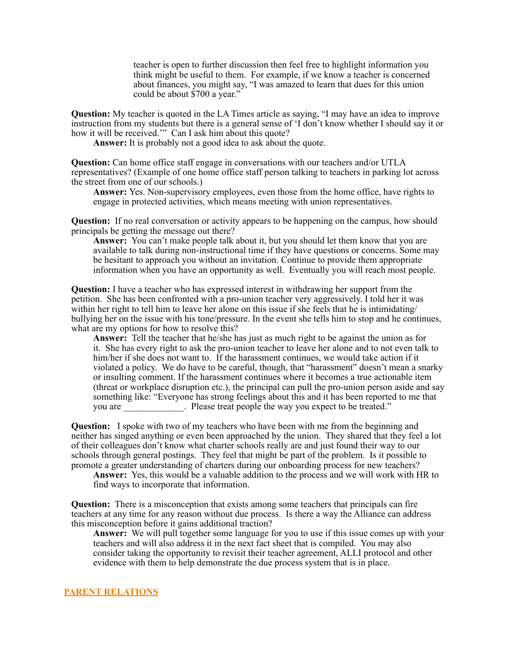teacher is open to further discussion then feel free to highlight information you think might be useful to them. For example, if we know a teacher is concerned about finances, you might say, "I was amazed to learn that dues for this union could be about \$700 a year."

**Question:** My teacher is quoted in the LA Times article as saying, "I may have an idea to improve instruction from my students but there is a general sense of 'I don't know whether I should say it or how it will be received." Can I ask him about this quote?

**Answer:** It is probably not a good idea to ask about the quote.

**Question:** Can home office staff engage in conversations with our teachers and/or UTLA representatives? (Example of one home office staff person talking to teachers in parking lot across the street from one of our schools.)

**Answer:** Yes. Non-supervisory employees, even those from the home office, have rights to engage in protected activities, which means meeting with union representatives.

**Question:** If no real conversation or activity appears to be happening on the campus, how should principals be getting the message out there?

**Answer:** You can't make people talk about it, but you should let them know that you are available to talk during non-instructional time if they have questions or concerns. Some may be hesitant to approach you without an invitation. Continue to provide them appropriate information when you have an opportunity as well. Eventually you will reach most people.

**Question:** I have a teacher who has expressed interest in withdrawing her support from the petition. She has been confronted with a pro-union teacher very aggressively. I told her it was within her right to tell him to leave her alone on this issue if she feels that he is intimidating/ bullying her on the issue with his tone/pressure. In the event she tells him to stop and he continues, what are my options for how to resolve this?

**Answer:** Tell the teacher that he/she has just as much right to be against the union as for it. She has every right to ask the pro-union teacher to leave her alone and to not even talk to him/her if she does not want to. If the harassment continues, we would take action if it violated a policy. We do have to be careful, though, that "harassment" doesn't mean a snarky or insulting comment. If the harassment continues where it becomes a true actionable item (threat or workplace disruption etc.), the principal can pull the pro-union person aside and say something like: "Everyone has strong feelings about this and it has been reported to me that you are  $\blacksquare$ . Please treat people the way you expect to be treated."

**Question:** I spoke with two of my teachers who have been with me from the beginning and neither has singed anything or even been approached by the union. They shared that they feel a lot of their colleagues don't know what charter schools really are and just found their way to our schools through general postings. They feel that might be part of the problem. Is it possible to promote a greater understanding of charters during our onboarding process for new teachers?

**Answer:** Yes, this would be a valuable addition to the process and we will work with HR to find ways to incorporate that information.

**Question:** There is a misconception that exists among some teachers that principals can fire teachers at any time for any reason without due process. Is there a way the Alliance can address this misconception before it gains additional traction?

**Answer:** We will pull together some language for you to use if this issue comes up with your teachers and will also address it in the next fact sheet that is compiled. You may also consider taking the opportunity to revisit their teacher agreement, ALLI protocol and other evidence with them to help demonstrate the due process system that is in place.

#### **PARENT RELATIONS**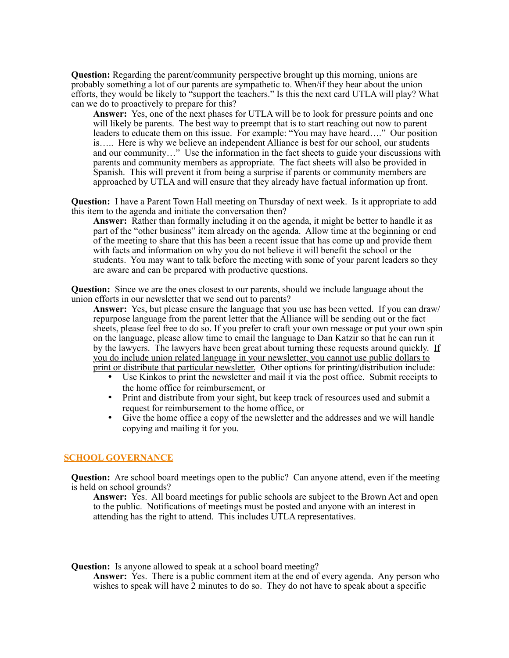**Question:** Regarding the parent/community perspective brought up this morning, unions are probably something a lot of our parents are sympathetic to. When/if they hear about the union efforts, they would be likely to "support the teachers." Is this the next card UTLA will play? What can we do to proactively to prepare for this?

**Answer:** Yes, one of the next phases for UTLA will be to look for pressure points and one will likely be parents. The best way to preempt that is to start reaching out now to parent leaders to educate them on this issue. For example: "You may have heard…." Our position is….. Here is why we believe an independent Alliance is best for our school, our students and our community…" Use the information in the fact sheets to guide your discussions with parents and community members as appropriate. The fact sheets will also be provided in Spanish. This will prevent it from being a surprise if parents or community members are approached by UTLA and will ensure that they already have factual information up front.

**Question:** I have a Parent Town Hall meeting on Thursday of next week. Is it appropriate to add this item to the agenda and initiate the conversation then?

**Answer:** Rather than formally including it on the agenda, it might be better to handle it as part of the "other business" item already on the agenda. Allow time at the beginning or end of the meeting to share that this has been a recent issue that has come up and provide them with facts and information on why you do not believe it will benefit the school or the students. You may want to talk before the meeting with some of your parent leaders so they are aware and can be prepared with productive questions.

**Question:** Since we are the ones closest to our parents, should we include language about the union efforts in our newsletter that we send out to parents?

**Answer:** Yes, but please ensure the language that you use has been vetted. If you can draw/ repurpose language from the parent letter that the Alliance will be sending out or the fact sheets, please feel free to do so. If you prefer to craft your own message or put your own spin on the language, please allow time to email the language to Dan Katzir so that he can run it by the lawyers. The lawyers have been great about turning these requests around quickly. If you do include union related language in your newsletter, you cannot use public dollars to print or distribute that particular newsletter. Other options for printing/distribution include:

- Use Kinkos to print the newsletter and mail it via the post office. Submit receipts to the home office for reimbursement, or
- Print and distribute from your sight, but keep track of resources used and submit a request for reimbursement to the home office, or
- Give the home office a copy of the newsletter and the addresses and we will handle copying and mailing it for you.

## **SCHOOL GOVERNANCE**

**Question:** Are school board meetings open to the public? Can anyone attend, even if the meeting is held on school grounds?

**Answer:** Yes. All board meetings for public schools are subject to the Brown Act and open to the public. Notifications of meetings must be posted and anyone with an interest in attending has the right to attend. This includes UTLA representatives.

**Question:** Is anyone allowed to speak at a school board meeting?

Answer: Yes. There is a public comment item at the end of every agenda. Any person who wishes to speak will have 2 minutes to do so. They do not have to speak about a specific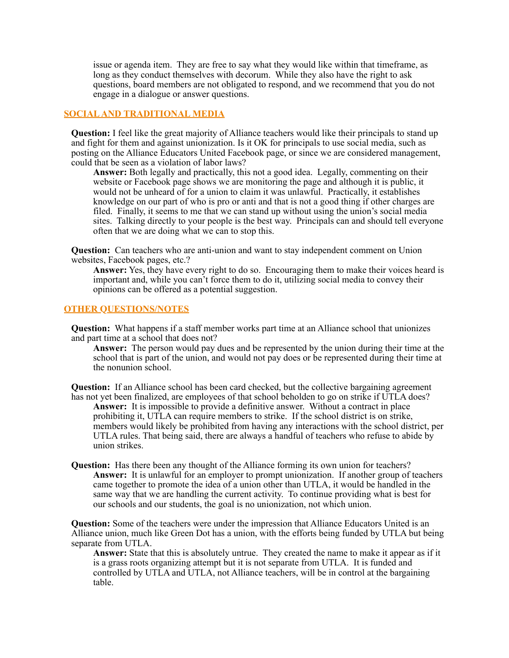issue or agenda item. They are free to say what they would like within that timeframe, as long as they conduct themselves with decorum. While they also have the right to ask questions, board members are not obligated to respond, and we recommend that you do not engage in a dialogue or answer questions.

## **SOCIAL AND TRADITIONAL MEDIA**

**Question:** I feel like the great majority of Alliance teachers would like their principals to stand up and fight for them and against unionization. Is it OK for principals to use social media, such as posting on the Alliance Educators United Facebook page, or since we are considered management, could that be seen as a violation of labor laws?

**Answer:** Both legally and practically, this not a good idea. Legally, commenting on their website or Facebook page shows we are monitoring the page and although it is public, it would not be unheard of for a union to claim it was unlawful. Practically, it establishes knowledge on our part of who is pro or anti and that is not a good thing if other charges are filed. Finally, it seems to me that we can stand up without using the union's social media sites. Talking directly to your people is the best way. Principals can and should tell everyone often that we are doing what we can to stop this.

**Question:** Can teachers who are anti-union and want to stay independent comment on Union websites, Facebook pages, etc.?

**Answer:** Yes, they have every right to do so. Encouraging them to make their voices heard is important and, while you can't force them to do it, utilizing social media to convey their opinions can be offered as a potential suggestion.

## **OTHER QUESTIONS/NOTES**

**Question:** What happens if a staff member works part time at an Alliance school that unionizes and part time at a school that does not?

**Answer:** The person would pay dues and be represented by the union during their time at the school that is part of the union, and would not pay does or be represented during their time at the nonunion school.

**Question:** If an Alliance school has been card checked, but the collective bargaining agreement has not yet been finalized, are employees of that school beholden to go on strike if UTLA does? **Answer:** It is impossible to provide a definitive answer. Without a contract in place prohibiting it, UTLA can require members to strike. If the school district is on strike, members would likely be prohibited from having any interactions with the school district, per UTLA rules. That being said, there are always a handful of teachers who refuse to abide by union strikes.

**Question:** Has there been any thought of the Alliance forming its own union for teachers? **Answer:** It is unlawful for an employer to prompt unionization. If another group of teachers came together to promote the idea of a union other than UTLA, it would be handled in the same way that we are handling the current activity. To continue providing what is best for our schools and our students, the goal is no unionization, not which union.

**Question:** Some of the teachers were under the impression that Alliance Educators United is an Alliance union, much like Green Dot has a union, with the efforts being funded by UTLA but being separate from UTLA.

**Answer:** State that this is absolutely untrue. They created the name to make it appear as if it is a grass roots organizing attempt but it is not separate from UTLA. It is funded and controlled by UTLA and UTLA, not Alliance teachers, will be in control at the bargaining table.